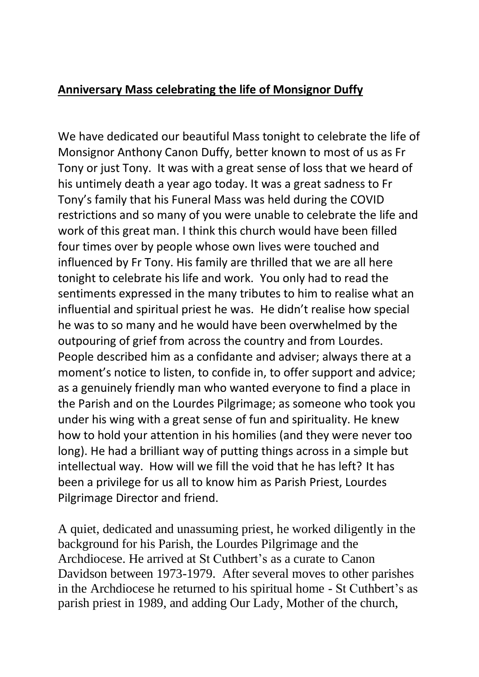## **Anniversary Mass celebrating the life of Monsignor Duffy**

We have dedicated our beautiful Mass tonight to celebrate the life of Monsignor Anthony Canon Duffy, better known to most of us as Fr Tony or just Tony. It was with a great sense of loss that we heard of his untimely death a year ago today. It was a great sadness to Fr Tony's family that his Funeral Mass was held during the COVID restrictions and so many of you were unable to celebrate the life and work of this great man. I think this church would have been filled four times over by people whose own lives were touched and influenced by Fr Tony. His family are thrilled that we are all here tonight to celebrate his life and work. You only had to read the sentiments expressed in the many tributes to him to realise what an influential and spiritual priest he was. He didn't realise how special he was to so many and he would have been overwhelmed by the outpouring of grief from across the country and from Lourdes. People described him as a confidante and adviser; always there at a moment's notice to listen, to confide in, to offer support and advice; as a genuinely friendly man who wanted everyone to find a place in the Parish and on the Lourdes Pilgrimage; as someone who took you under his wing with a great sense of fun and spirituality. He knew how to hold your attention in his homilies (and they were never too long). He had a brilliant way of putting things across in a simple but intellectual way. How will we fill the void that he has left? It has been a privilege for us all to know him as Parish Priest, Lourdes Pilgrimage Director and friend.

A quiet, dedicated and unassuming priest, he worked diligently in the background for his Parish, the Lourdes Pilgrimage and the Archdiocese. He arrived at St Cuthbert's as a curate to Canon Davidson between 1973-1979. After several moves to other parishes in the Archdiocese he returned to his spiritual home - St Cuthbert's as parish priest in 1989, and adding Our Lady, Mother of the church,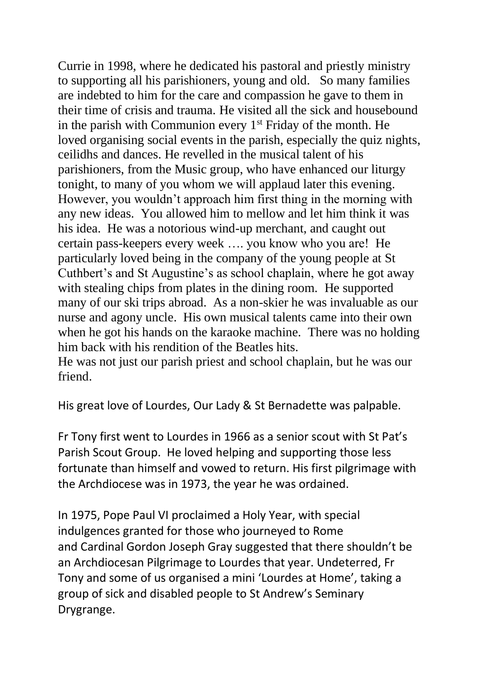Currie in 1998, where he dedicated his pastoral and priestly ministry to supporting all his parishioners, young and old. So many families are indebted to him for the care and compassion he gave to them in their time of crisis and trauma. He visited all the sick and housebound in the parish with Communion every  $1<sup>st</sup>$  Friday of the month. He loved organising social events in the parish, especially the quiz nights, ceilidhs and dances. He revelled in the musical talent of his parishioners, from the Music group, who have enhanced our liturgy tonight, to many of you whom we will applaud later this evening. However, you wouldn't approach him first thing in the morning with any new ideas. You allowed him to mellow and let him think it was his idea. He was a notorious wind-up merchant, and caught out certain pass-keepers every week …. you know who you are! He particularly loved being in the company of the young people at St Cuthbert's and St Augustine's as school chaplain, where he got away with stealing chips from plates in the dining room. He supported many of our ski trips abroad. As a non-skier he was invaluable as our nurse and agony uncle. His own musical talents came into their own when he got his hands on the karaoke machine. There was no holding him back with his rendition of the Beatles hits.

He was not just our parish priest and school chaplain, but he was our friend.

His great love of Lourdes, Our Lady & St Bernadette was palpable.

Fr Tony first went to Lourdes in 1966 as a senior scout with St Pat's Parish Scout Group. He loved helping and supporting those less fortunate than himself and vowed to return. His first pilgrimage with the Archdiocese was in 1973, the year he was ordained.

In 1975, Pope Paul VI proclaimed a Holy Year, with special indulgences granted for those who journeyed to Rome and Cardinal Gordon Joseph Gray suggested that there shouldn't be an Archdiocesan Pilgrimage to Lourdes that year. Undeterred, Fr Tony and some of us organised a mini 'Lourdes at Home', taking a group of sick and disabled people to St Andrew's Seminary Drygrange.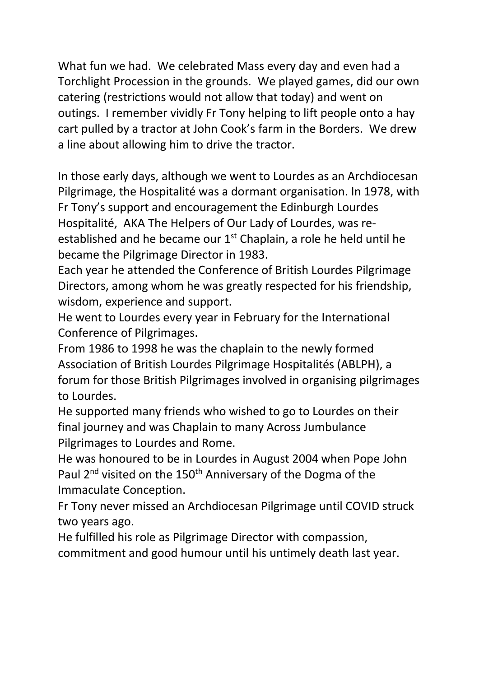What fun we had. We celebrated Mass every day and even had a Torchlight Procession in the grounds. We played games, did our own catering (restrictions would not allow that today) and went on outings. I remember vividly Fr Tony helping to lift people onto a hay cart pulled by a tractor at John Cook's farm in the Borders. We drew a line about allowing him to drive the tractor.

In those early days, although we went to Lourdes as an Archdiocesan Pilgrimage, the Hospitalité was a dormant organisation. In 1978, with Fr Tony's support and encouragement the Edinburgh Lourdes Hospitalité, AKA The Helpers of Our Lady of Lourdes, was reestablished and he became our  $1<sup>st</sup>$  Chaplain, a role he held until he became the Pilgrimage Director in 1983.

Each year he attended the Conference of British Lourdes Pilgrimage Directors, among whom he was greatly respected for his friendship, wisdom, experience and support.

He went to Lourdes every year in February for the International Conference of Pilgrimages.

From 1986 to 1998 he was the chaplain to the newly formed Association of British Lourdes Pilgrimage Hospitalités (ABLPH), a forum for those British Pilgrimages involved in organising pilgrimages to Lourdes.

He supported many friends who wished to go to Lourdes on their final journey and was Chaplain to many Across Jumbulance Pilgrimages to Lourdes and Rome.

He was honoured to be in Lourdes in August 2004 when Pope John Paul 2<sup>nd</sup> visited on the 150<sup>th</sup> Anniversary of the Dogma of the Immaculate Conception.

Fr Tony never missed an Archdiocesan Pilgrimage until COVID struck two years ago.

He fulfilled his role as Pilgrimage Director with compassion, commitment and good humour until his untimely death last year.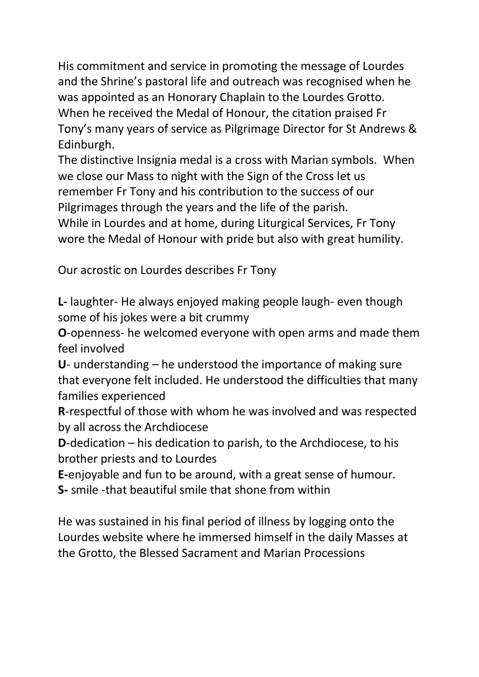His commitment and service in promoting the message of Lourdes and the Shrine's pastoral life and outreach was recognised when he was appointed as an Honorary Chaplain to the Lourdes Grotto. When he received the Medal of Honour, the citation praised Fr Tony's many years of service as Pilgrimage Director for St Andrews & Edinburgh.

The distinctive Insignia medal is a cross with Marian symbols. When we close our Mass to night with the Sign of the Cross let us remember Fr Tony and his contribution to the success of our Pilgrimages through the years and the life of the parish.

While in Lourdes and at home, during Liturgical Services, Fr Tony wore the Medal of Honour with pride but also with great humility.

Our acrostic on Lourdes describes Fr Tony

**L-** laughter- He always enjoyed making people laugh- even though some of his jokes were a bit crummy

**O**-openness- he welcomed everyone with open arms and made them feel involved

**U**- understanding – he understood the importance of making sure that everyone felt included. He understood the difficulties that many families experienced

**R**-respectful of those with whom he was involved and was respected by all across the Archdiocese

**D**-dedication – his dedication to parish, to the Archdiocese, to his brother priests and to Lourdes

**E-**enjoyable and fun to be around, with a great sense of humour.

**S-** smile -that beautiful smile that shone from within

He was sustained in his final period of illness by logging onto the Lourdes website where he immersed himself in the daily Masses at the Grotto, the Blessed Sacrament and Marian Processions